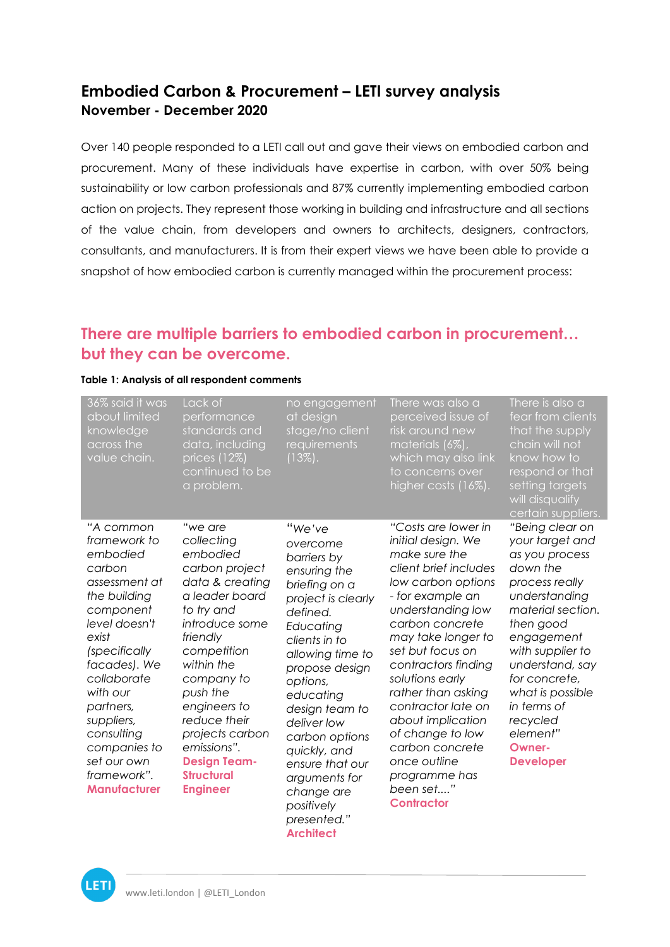#### **Embodied Carbon & Procurement – LETI survey analysis November - December 2020**

Over 140 people responded to a LETI call out and gave their views on embodied carbon and procurement. Many of these individuals have expertise in carbon, with over 50% being sustainability or low carbon professionals and 87% currently implementing embodied carbon action on projects. They represent those working in building and infrastructure and all sections of the value chain, from developers and owners to architects, designers, contractors, consultants, and manufacturers. It is from their expert views we have been able to provide a snapshot of how embodied carbon is currently managed within the procurement process:

### **There are multiple barriers to embodied carbon in procurement… but they can be overcome.**

| 36% said it was<br>about limited<br>knowledge<br>across the<br>value chain.                                                                                                                                                                                                                       | Lack of<br>performance<br>standards and<br>data, including<br>prices (12%)<br>continued to be<br>a problem.                                                                                                                                                                                                                  | no engagement<br>at design<br>stage/no client<br>requirements<br>$(13\%)$ .                                                                                                                                                                                                                                                                                             | There was also a<br>perceived issue of<br>risk around new<br>materials (6%),<br>which may also link<br>to concerns over<br>higher costs (16%).                                                                                                                                                                                                                                                                                       | There is also a<br>fear from clients<br>that the supply<br>chain will not<br>know how to<br>respond or that<br>setting targets<br>will disqualify<br>certain suppliers.                                                                                                                                     |
|---------------------------------------------------------------------------------------------------------------------------------------------------------------------------------------------------------------------------------------------------------------------------------------------------|------------------------------------------------------------------------------------------------------------------------------------------------------------------------------------------------------------------------------------------------------------------------------------------------------------------------------|-------------------------------------------------------------------------------------------------------------------------------------------------------------------------------------------------------------------------------------------------------------------------------------------------------------------------------------------------------------------------|--------------------------------------------------------------------------------------------------------------------------------------------------------------------------------------------------------------------------------------------------------------------------------------------------------------------------------------------------------------------------------------------------------------------------------------|-------------------------------------------------------------------------------------------------------------------------------------------------------------------------------------------------------------------------------------------------------------------------------------------------------------|
| "A common<br>framework to<br>embodied<br>carbon<br>assessment at<br>the building<br>component<br>level doesn't<br>exist<br>(specifically<br>facades). We<br>collaborate<br>with our<br>partners,<br>suppliers,<br>consulting<br>companies to<br>set our own<br>framework".<br><b>Manufacturer</b> | "we are<br>collecting<br>embodied<br>carbon project<br>data & creating<br>a leader board<br>to try and<br>introduce some<br>friendly<br>competition<br>within the<br>company to<br>push the<br>engineers to<br>reduce their<br>projects carbon<br>emissions".<br><b>Design Team-</b><br><b>Structural</b><br><b>Engineer</b> | "We've<br>overcome<br>barriers by<br>ensuring the<br>briefing on a<br>project is clearly<br>defined.<br>Educating<br>clients in to<br>allowing time to<br>propose design<br>options,<br>educating<br>design team to<br>deliver low<br>carbon options<br>quickly, and<br>ensure that our<br>arguments for<br>change are<br>positively<br>presented."<br><b>Architect</b> | "Costs are lower in<br>initial design. We<br>make sure the<br>client brief includes<br>low carbon options<br>- for example an<br>understanding low<br>carbon concrete<br>may take longer to<br>set but focus on<br>contractors finding<br>solutions early<br>rather than asking<br>contractor late on<br>about implication<br>of change to low<br>carbon concrete<br>once outline<br>programme has<br>been set"<br><b>Contractor</b> | "Being clear on<br>your target and<br>as you process<br>down the<br>process really<br>understanding<br>material section.<br>then good<br>engagement<br>with supplier to<br>understand, say<br>for concrete,<br>what is possible<br>in terms of<br>recycled<br>element"<br><b>Owner-</b><br><b>Developer</b> |

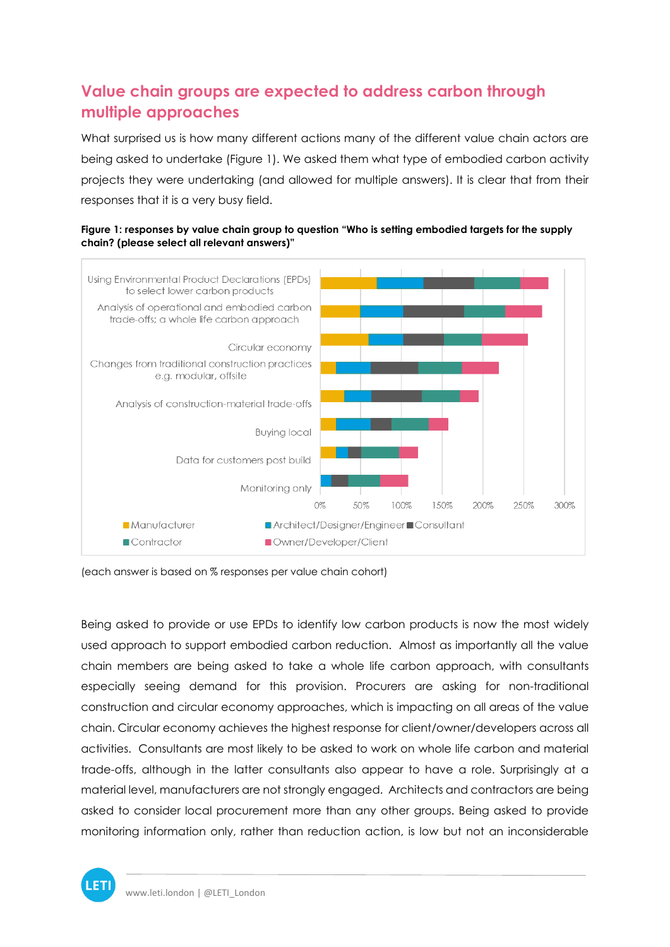## **Value chain groups are expected to address carbon through multiple approaches**

What surprised us is how many different actions many of the different value chain actors are being asked to undertake (Figure 1). We asked them what type of embodied carbon activity projects they were undertaking (and allowed for multiple answers). It is clear that from their responses that it is a very busy field.





Being asked to provide or use EPDs to identify low carbon products is now the most widely used approach to support embodied carbon reduction. Almost as importantly all the value chain members are being asked to take a whole life carbon approach, with consultants especially seeing demand for this provision. Procurers are asking for non-traditional construction and circular economy approaches, which is impacting on all areas of the value chain. Circular economy achieves the highest response for client/owner/developers across all activities. Consultants are most likely to be asked to work on whole life carbon and material trade-offs, although in the latter consultants also appear to have a role. Surprisingly at a material level, manufacturers are not strongly engaged. Architects and contractors are being asked to consider local procurement more than any other groups. Being asked to provide monitoring information only, rather than reduction action, is low but not an inconsiderable



<sup>(</sup>each answer is based on % responses per value chain cohort)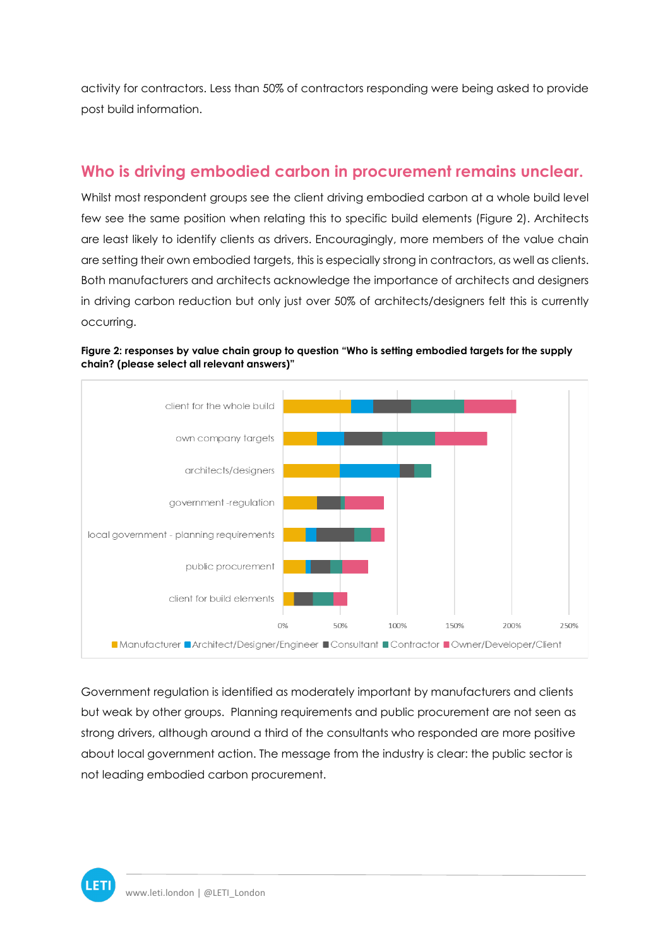activity for contractors. Less than 50% of contractors responding were being asked to provide post build information.

#### **Who is driving embodied carbon in procurement remains unclear.**

Whilst most respondent groups see the client driving embodied carbon at a whole build level few see the same position when relating this to specific build elements (Figure 2). Architects are least likely to identify clients as drivers. Encouragingly, more members of the value chain are setting their own embodied targets, this is especially strong in contractors, as well as clients. Both manufacturers and architects acknowledge the importance of architects and designers in driving carbon reduction but only just over 50% of architects/designers felt this is currently occurring.



**Figure 2: responses by value chain group to question "Who is setting embodied targets for the supply chain? (please select all relevant answers)"**

Government regulation is identified as moderately important by manufacturers and clients but weak by other groups. Planning requirements and public procurement are not seen as strong drivers, although around a third of the consultants who responded are more positive about local government action. The message from the industry is clear: the public sector is not leading embodied carbon procurement.

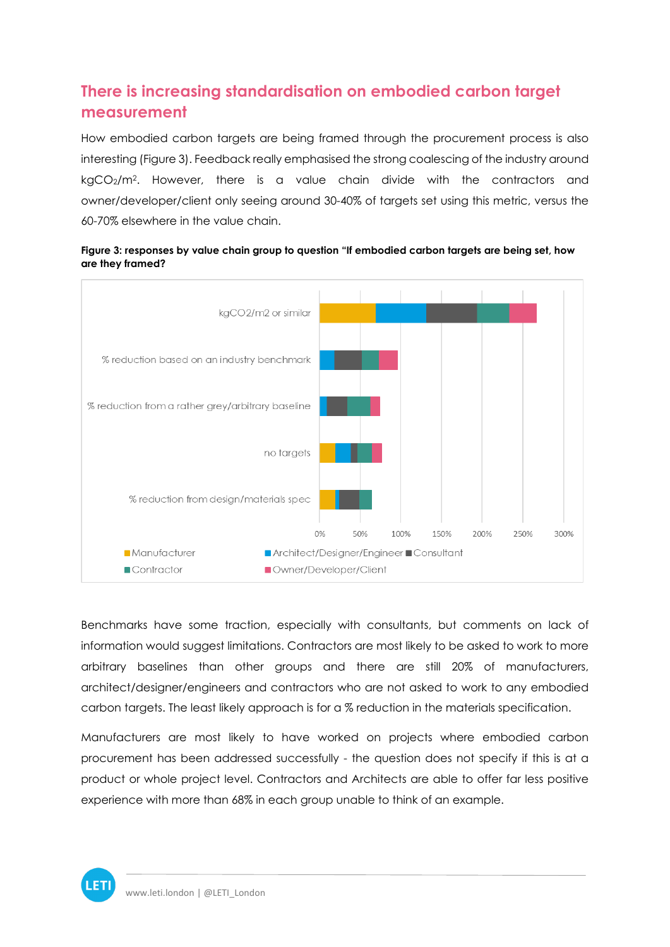# **There is increasing standardisation on embodied carbon target measurement**

How embodied carbon targets are being framed through the procurement process is also interesting (Figure 3). Feedback really emphasised the strong coalescing of the industry around kgCO2/m2. However, there is a value chain divide with the contractors and owner/developer/client only seeing around 30-40% of targets set using this metric, versus the 60-70% elsewhere in the value chain.





Benchmarks have some traction, especially with consultants, but comments on lack of information would suggest limitations. Contractors are most likely to be asked to work to more arbitrary baselines than other groups and there are still 20% of manufacturers, architect/designer/engineers and contractors who are not asked to work to any embodied carbon targets. The least likely approach is for a % reduction in the materials specification.

Manufacturers are most likely to have worked on projects where embodied carbon procurement has been addressed successfully - the question does not specify if this is at a product or whole project level. Contractors and Architects are able to offer far less positive experience with more than 68% in each group unable to think of an example.

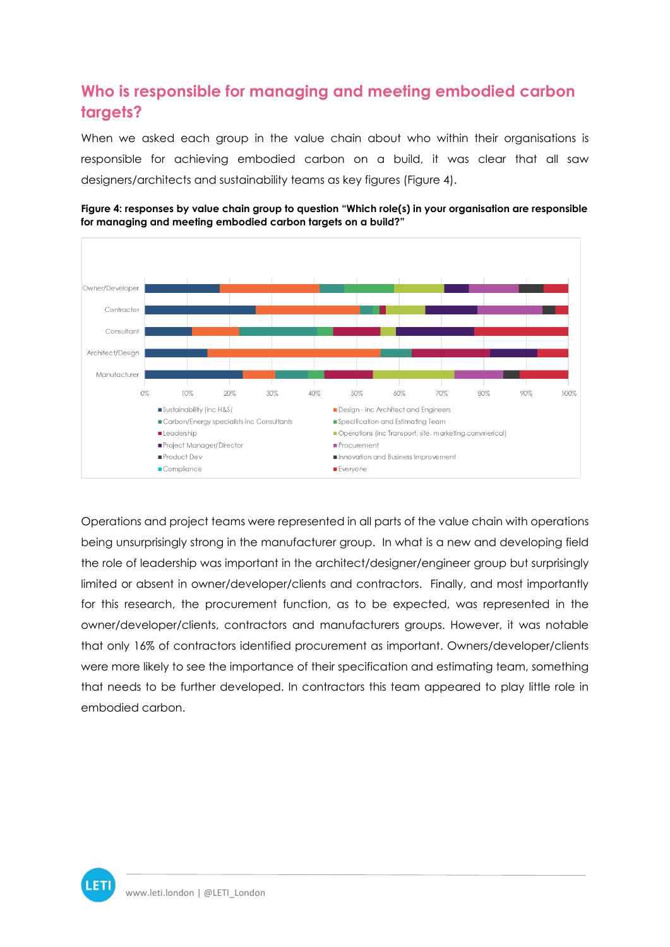## **Who is responsible for managing and meeting embodied carbon targets?**

When we asked each group in the value chain about who within their organisations is responsible for achieving embodied carbon on a build, it was clear that all saw designers/architects and sustainability teams as key figures (Figure 4).



**Figure 4: responses by value chain group to question "Which role(s) in your organisation are responsible for managing and meeting embodied carbon targets on a build?"**

Operations and project teams were represented in all parts of the value chain with operations being unsurprisingly strong in the manufacturer group. In what is a new and developing field the role of leadership was important in the architect/designer/engineer group but surprisingly limited or absent in owner/developer/clients and contractors. Finally, and most importantly for this research, the procurement function, as to be expected, was represented in the owner/developer/clients, contractors and manufacturers groups. However, it was notable that only 16% of contractors identified procurement as important. Owners/developer/clients were more likely to see the importance of their specification and estimating team, something that needs to be further developed. In contractors this team appeared to play little role in embodied carbon.

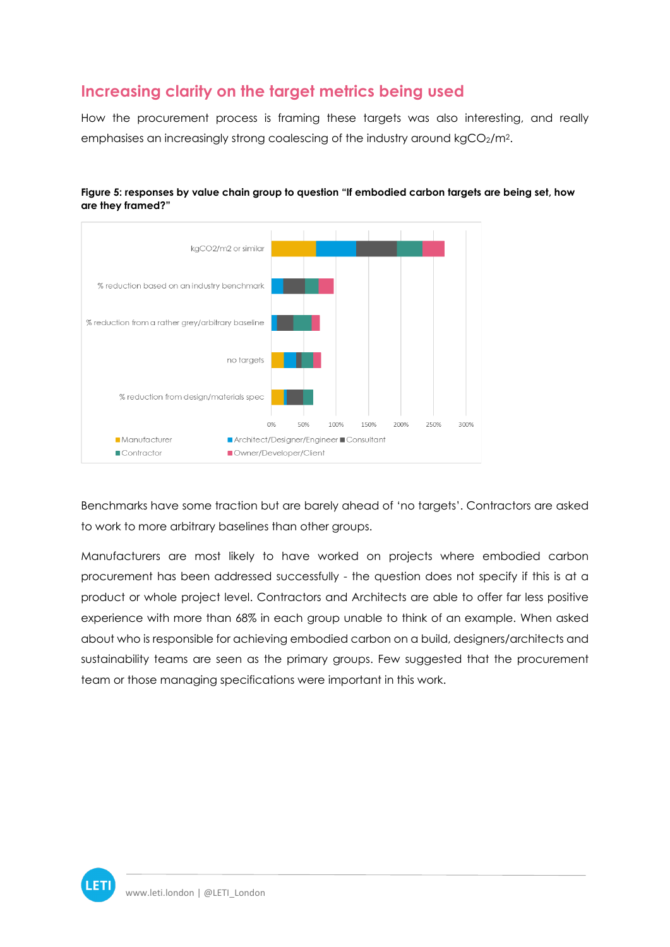### **Increasing clarity on the target metrics being used**

How the procurement process is framing these targets was also interesting, and really emphasises an increasingly strong coalescing of the industry around kgCO2/m<sup>2</sup>.





Benchmarks have some traction but are barely ahead of 'no targets'. Contractors are asked to work to more arbitrary baselines than other groups.

Manufacturers are most likely to have worked on projects where embodied carbon procurement has been addressed successfully - the question does not specify if this is at a product or whole project level. Contractors and Architects are able to offer far less positive experience with more than 68% in each group unable to think of an example. When asked about who is responsible for achieving embodied carbon on a build, designers/architects and sustainability teams are seen as the primary groups. Few suggested that the procurement team or those managing specifications were important in this work.